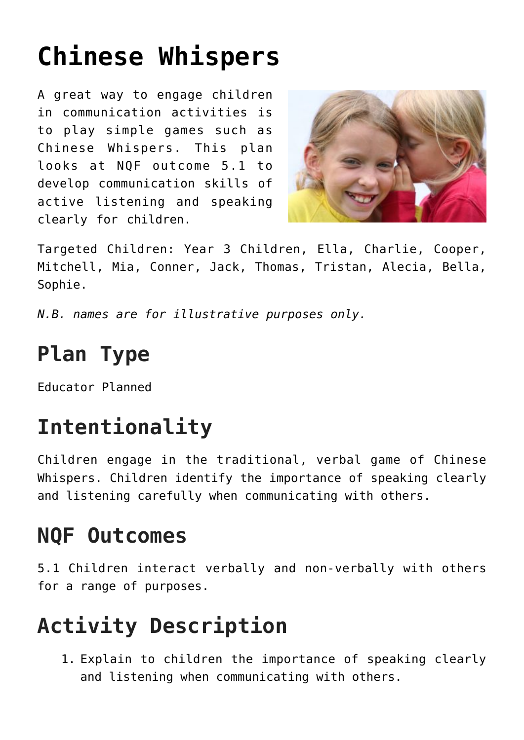# **[Chinese Whispers](https://one-child.com/316/chinese-whispers/)**

A great way to engage children in communication activities is to play simple games such as Chinese Whispers. This plan looks at NQF outcome 5.1 to develop communication skills of active listening and speaking clearly for children.



Targeted Children: Year 3 Children, Ella, Charlie, Cooper, Mitchell, Mia, Conner, Jack, Thomas, Tristan, Alecia, Bella, Sophie.

*N.B. names are for illustrative purposes only.*

## **Plan Type**

Educator Planned

## **Intentionality**

Children engage in the traditional, verbal game of Chinese Whispers. Children identify the importance of speaking clearly and listening carefully when communicating with others.

#### **NQF Outcomes**

5.1 Children interact verbally and non-verbally with others for a range of purposes.

## **Activity Description**

1. Explain to children the importance of speaking clearly and listening when communicating with others.